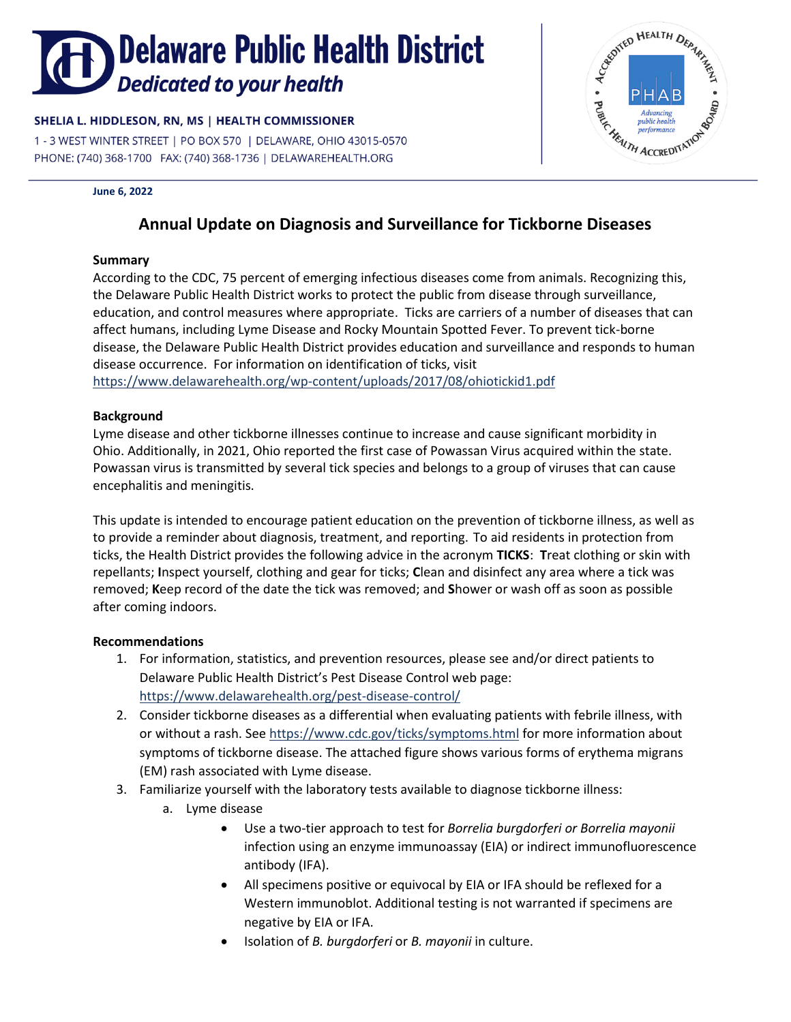# Delaware Public Health District Dedicated to your health

### SHELIA L. HIDDLESON, RN, MS | HEALTH COMMISSIONER

1 - 3 WEST WINTER STREET | PO BOX 570 | DELAWARE, OHIO 43015-0570 PHONE: (740) 368-1700 FAX: (740) 368-1736 | DELAWAREHEALTH.ORG

#### **June 6, 2022**

## **Annual Update on Diagnosis and Surveillance for Tickborne Diseases**

#### **Summary**

According to the CDC, 75 percent of emerging infectious diseases come from animals. Recognizing this, the Delaware Public Health District works to protect the public from disease through surveillance, education, and control measures where appropriate. Ticks are carriers of a number of diseases that can affect humans, including Lyme Disease and Rocky Mountain Spotted Fever. To prevent tick-borne disease, the Delaware Public Health District provides education and surveillance and responds to human disease occurrence. For information on identification of ticks, visit <https://www.delawarehealth.org/wp-content/uploads/2017/08/ohiotickid1.pdf>

#### **Background**

Lyme disease and other tickborne illnesses continue to increase and cause significant morbidity in Ohio. Additionally, in 2021, Ohio reported the first case of Powassan Virus acquired within the state. Powassan virus is transmitted by several tick species and belongs to a group of viruses that can cause encephalitis and meningitis.

This update is intended to encourage patient education on the prevention of tickborne illness, as well as to provide a reminder about diagnosis, treatment, and reporting. To aid residents in protection from ticks, the Health District provides the following advice in the acronym **TICKS**: **T**reat clothing or skin with repellants; **I**nspect yourself, clothing and gear for ticks; **C**lean and disinfect any area where a tick was removed; **K**eep record of the date the tick was removed; and **S**hower or wash off as soon as possible after coming indoors.

#### **Recommendations**

- 1. For information, statistics, and prevention resources, please see and/or direct patients to Delaware Public Health District's Pest Disease Control web page: <https://www.delawarehealth.org/pest-disease-control/>
- 2. Consider tickborne diseases as a differential when evaluating patients with febrile illness, with or without a rash. Se[e https://www.cdc.gov/ticks/symptoms.html](https://www.cdc.gov/ticks/symptoms.html) for more information about symptoms of tickborne disease. The attached figure shows various forms of erythema migrans (EM) rash associated with Lyme disease.
- 3. Familiarize yourself with the laboratory tests available to diagnose tickborne illness:
	- a. Lyme disease
		- Use a two‐tier approach to test for *Borrelia burgdorferi or Borrelia mayonii*  infection using an enzyme immunoassay (EIA) or indirect immunofluorescence antibody (IFA).
		- All specimens positive or equivocal by EIA or IFA should be reflexed for a Western immunoblot. Additional testing is not warranted if specimens are negative by EIA or IFA.
		- Isolation of *B. burgdorferi* or *B. mayonii* in culture.

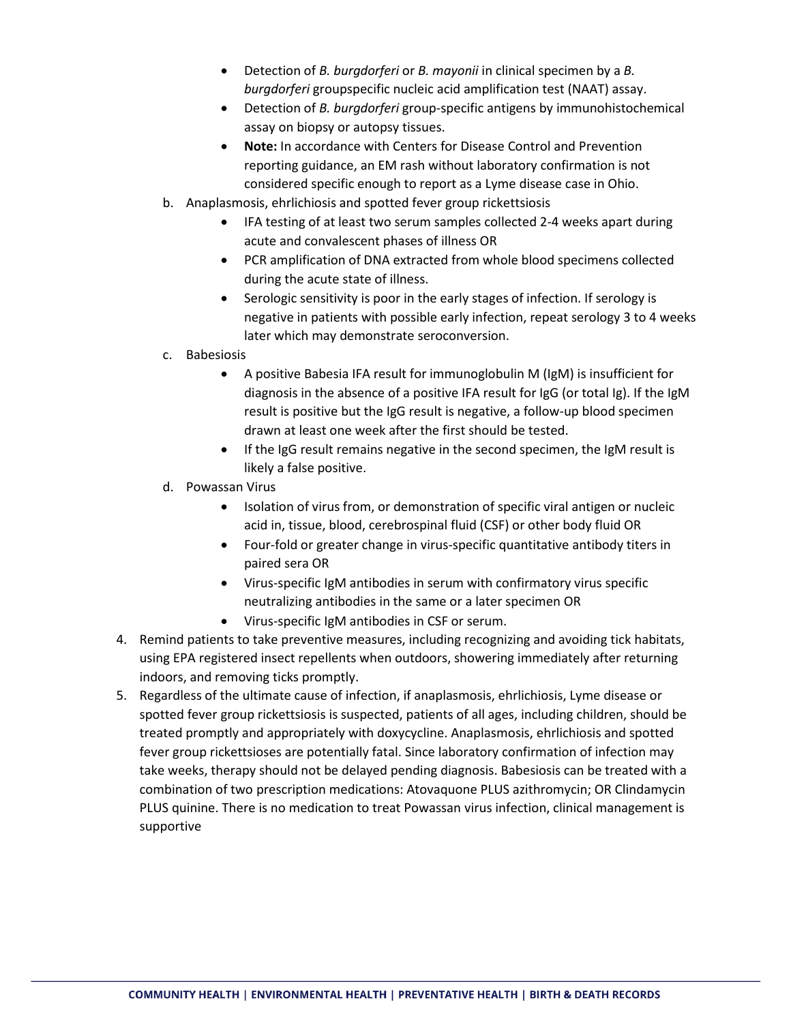- Detection of *B. burgdorferi* or *B. mayonii* in clinical specimen by a *B. burgdorferi* groupspecific nucleic acid amplification test (NAAT) assay.
- Detection of *B. burgdorferi* group-specific antigens by immunohistochemical assay on biopsy or autopsy tissues.
- **Note:** In accordance with Centers for Disease Control and Prevention reporting guidance, an EM rash without laboratory confirmation is not considered specific enough to report as a Lyme disease case in Ohio.
- b. Anaplasmosis, ehrlichiosis and spotted fever group rickettsiosis
	- IFA testing of at least two serum samples collected 2-4 weeks apart during acute and convalescent phases of illness OR
	- PCR amplification of DNA extracted from whole blood specimens collected during the acute state of illness.
	- Serologic sensitivity is poor in the early stages of infection. If serology is negative in patients with possible early infection, repeat serology 3 to 4 weeks later which may demonstrate seroconversion.
- c. Babesiosis
	- A positive Babesia IFA result for immunoglobulin M (IgM) is insufficient for diagnosis in the absence of a positive IFA result for IgG (or total Ig). If the IgM result is positive but the IgG result is negative, a follow-up blood specimen drawn at least one week after the first should be tested.
	- If the IgG result remains negative in the second specimen, the IgM result is likely a false positive.
- d. Powassan Virus
	- Isolation of virus from, or demonstration of specific viral antigen or nucleic acid in, tissue, blood, cerebrospinal fluid (CSF) or other body fluid OR
	- Four-fold or greater change in virus-specific quantitative antibody titers in paired sera OR
	- Virus-specific IgM antibodies in serum with confirmatory virus specific neutralizing antibodies in the same or a later specimen OR
	- Virus-specific IgM antibodies in CSF or serum.
- 4. Remind patients to take preventive measures, including recognizing and avoiding tick habitats, using EPA registered insect repellents when outdoors, showering immediately after returning indoors, and removing ticks promptly.
- 5. Regardless of the ultimate cause of infection, if anaplasmosis, ehrlichiosis, Lyme disease or spotted fever group rickettsiosis is suspected, patients of all ages, including children, should be treated promptly and appropriately with doxycycline. Anaplasmosis, ehrlichiosis and spotted fever group rickettsioses are potentially fatal. Since laboratory confirmation of infection may take weeks, therapy should not be delayed pending diagnosis. Babesiosis can be treated with a combination of two prescription medications: Atovaquone PLUS azithromycin; OR Clindamycin PLUS quinine. There is no medication to treat Powassan virus infection, clinical management is supportive